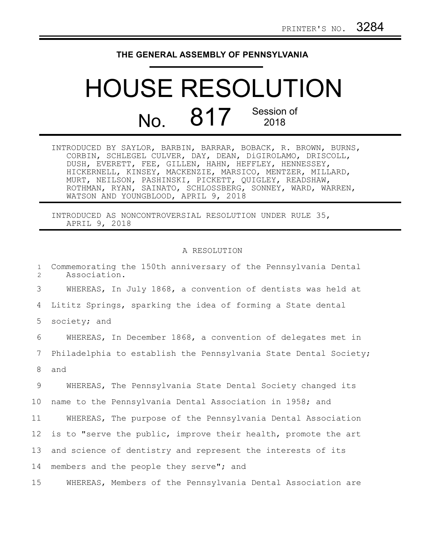## **THE GENERAL ASSEMBLY OF PENNSYLVANIA**

## HOUSE RESOLUTION  $N<sub>0</sub>$  817 Session of 2018

INTRODUCED BY SAYLOR, BARBIN, BARRAR, BOBACK, R. BROWN, BURNS, CORBIN, SCHLEGEL CULVER, DAY, DEAN, DiGIROLAMO, DRISCOLL, DUSH, EVERETT, FEE, GILLEN, HAHN, HEFFLEY, HENNESSEY, HICKERNELL, KINSEY, MACKENZIE, MARSICO, MENTZER, MILLARD, MURT, NEILSON, PASHINSKI, PICKETT, QUIGLEY, READSHAW, ROTHMAN, RYAN, SAINATO, SCHLOSSBERG, SONNEY, WARD, WARREN, WATSON AND YOUNGBLOOD, APRIL 9, 2018

INTRODUCED AS NONCONTROVERSIAL RESOLUTION UNDER RULE 35, APRIL 9, 2018

## A RESOLUTION

Commemorating the 150th anniversary of the Pennsylvania Dental Association. WHEREAS, In July 1868, a convention of dentists was held at Lititz Springs, sparking the idea of forming a State dental society; and WHEREAS, In December 1868, a convention of delegates met in Philadelphia to establish the Pennsylvania State Dental Society; and WHEREAS, The Pennsylvania State Dental Society changed its name to the Pennsylvania Dental Association in 1958; and WHEREAS, The purpose of the Pennsylvania Dental Association is to "serve the public, improve their health, promote the art and science of dentistry and represent the interests of its members and the people they serve"; and WHEREAS, Members of the Pennsylvania Dental Association are 1 2 3 4 5 6 7 8 9 10 11 12 13 14 15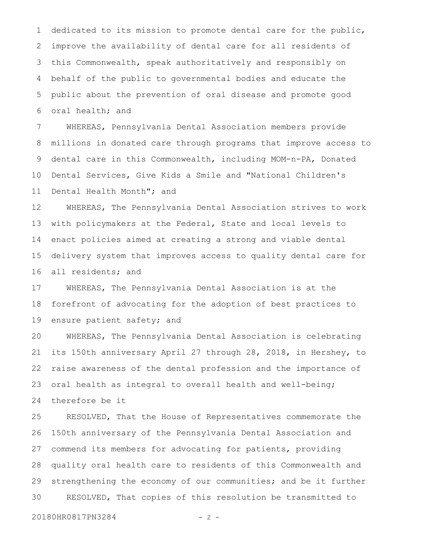dedicated to its mission to promote dental care for the public, improve the availability of dental care for all residents of this Commonwealth, speak authoritatively and responsibly on behalf of the public to governmental bodies and educate the public about the prevention of oral disease and promote good oral health; and 1 2 3 4 5 6

WHEREAS, Pennsylvania Dental Association members provide millions in donated care through programs that improve access to dental care in this Commonwealth, including MOM-n-PA, Donated Dental Services, Give Kids a Smile and "National Children's Dental Health Month"; and 7 8 9 10 11

WHEREAS, The Pennsylvania Dental Association strives to work with policymakers at the Federal, State and local levels to enact policies aimed at creating a strong and viable dental delivery system that improves access to quality dental care for all residents; and 12 13 14 15 16

WHEREAS, The Pennsylvania Dental Association is at the forefront of advocating for the adoption of best practices to ensure patient safety; and 17 18 19

WHEREAS, The Pennsylvania Dental Association is celebrating its 150th anniversary April 27 through 28, 2018, in Hershey, to raise awareness of the dental profession and the importance of oral health as integral to overall health and well-being; therefore be it 20 21 22 23 24

RESOLVED, That the House of Representatives commemorate the 150th anniversary of the Pennsylvania Dental Association and commend its members for advocating for patients, providing quality oral health care to residents of this Commonwealth and strengthening the economy of our communities; and be it further RESOLVED, That copies of this resolution be transmitted to 25 26 27 28 29 30

20180HR0817PN3284 - 2 -